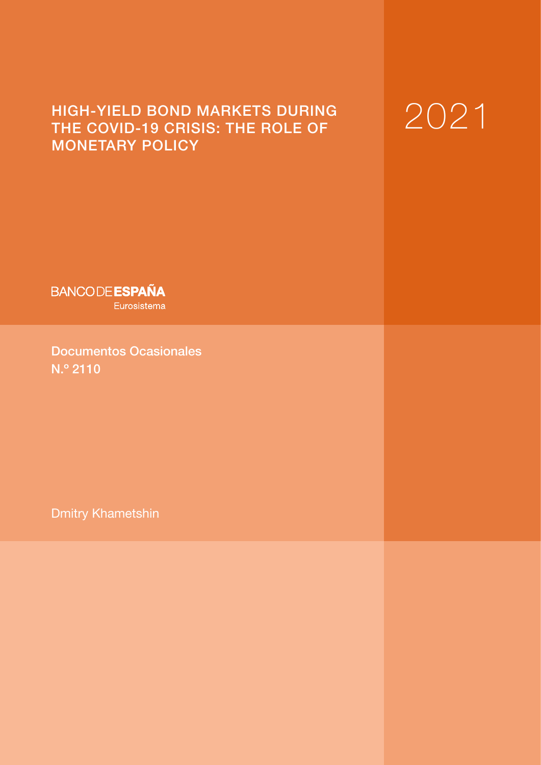# HIGH-YIELD BOND MARKETS DURING THE COVID-19 CRISIS: THE ROLE OF MONETARY POLICY

# 2021

**BANCODE ESPAÑA** Eurosistema

Documentos Ocasionales N.º 2110

Dmitry Khametshin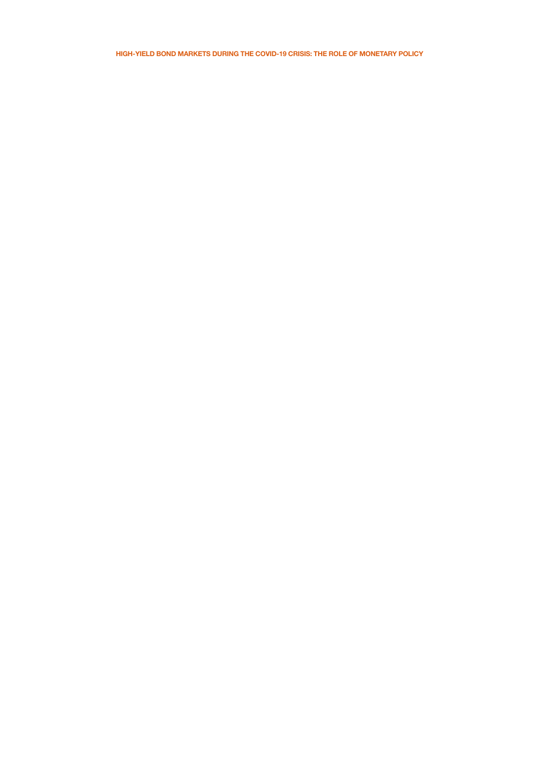HIGH-YIELD BOND MARKETS DURING THE COVID-19 CRISIS: THE ROLE OF MONETARY POLICY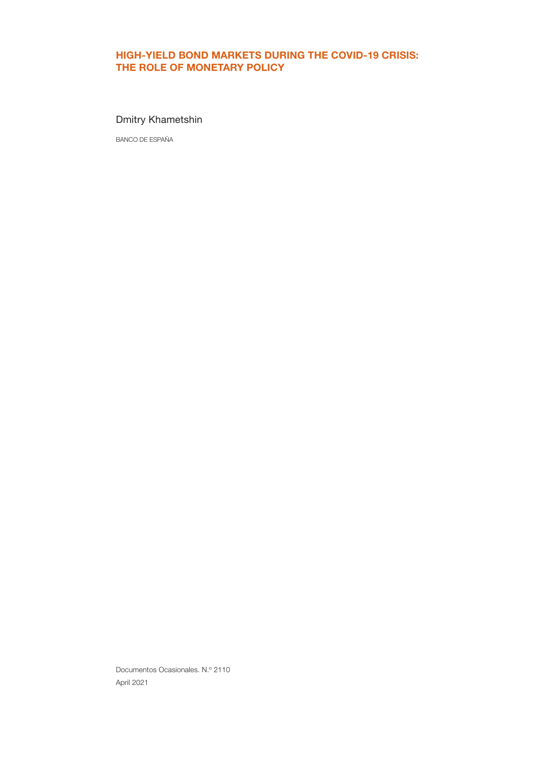# HIGH-YIELD BOND MARKETS DURING THE COVID-19 CRISIS: THE ROLE OF MONETARY POLICY

Dmitry Khametshin

BANCO DE ESPAÑA

Documentos Ocasionales. N.º 2110 April 2021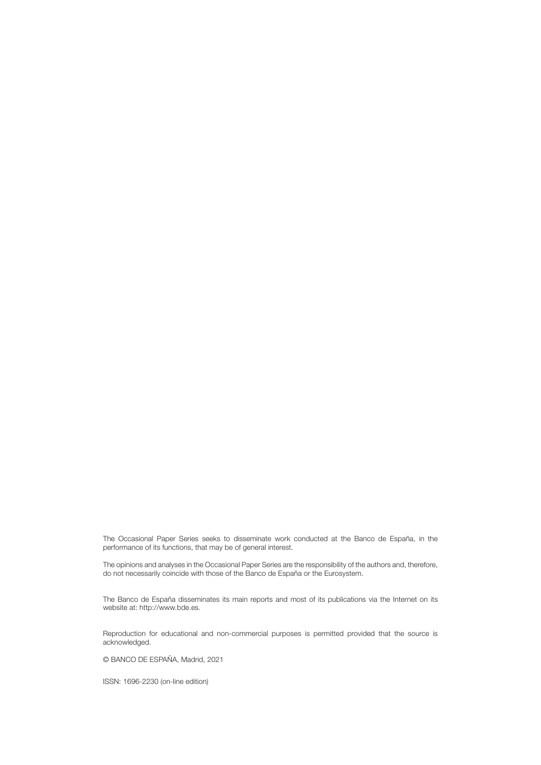The Occasional Paper Series seeks to disseminate work conducted at the Banco de España, in the performance of its functions, that may be of general interest.

The opinions and analyses in the Occasional Paper Series are the responsibility of the authors and, therefore, do not necessarily coincide with those of the Banco de España or the Eurosystem.

The Banco de España disseminates its main reports and most of its publications via the Internet on its website at: http://www.bde.es.

Reproduction for educational and non-commercial purposes is permitted provided that the source is acknowledged.

© BANCO DE ESPAÑA, Madrid, 2021

ISSN: 1696-2230 (on-line edition)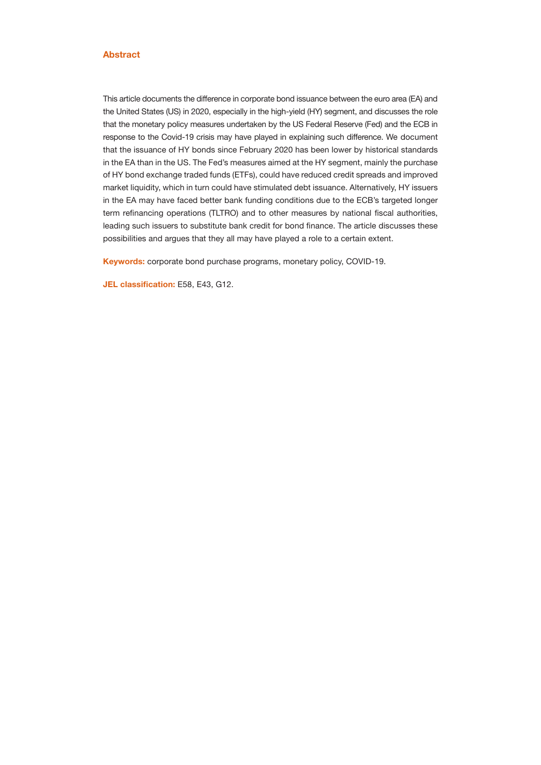#### Abstract

This article documents the difference in corporate bond issuance between the euro area (EA) and the United States (US) in 2020, especially in the high-yield (HY) segment, and discusses the role that the monetary policy measures undertaken by the US Federal Reserve (Fed) and the ECB in response to the Covid-19 crisis may have played in explaining such difference. We document that the issuance of HY bonds since February 2020 has been lower by historical standards in the EA than in the US. The Fed's measures aimed at the HY segment, mainly the purchase of HY bond exchange traded funds (ETFs), could have reduced credit spreads and improved market liquidity, which in turn could have stimulated debt issuance. Alternatively, HY issuers in the EA may have faced better bank funding conditions due to the ECB's targeted longer term refinancing operations (TLTRO) and to other measures by national fiscal authorities, leading such issuers to substitute bank credit for bond finance. The article discusses these possibilities and argues that they all may have played a role to a certain extent.

Keywords: corporate bond purchase programs, monetary policy, COVID-19.

JEL classification: E58, E43, G12.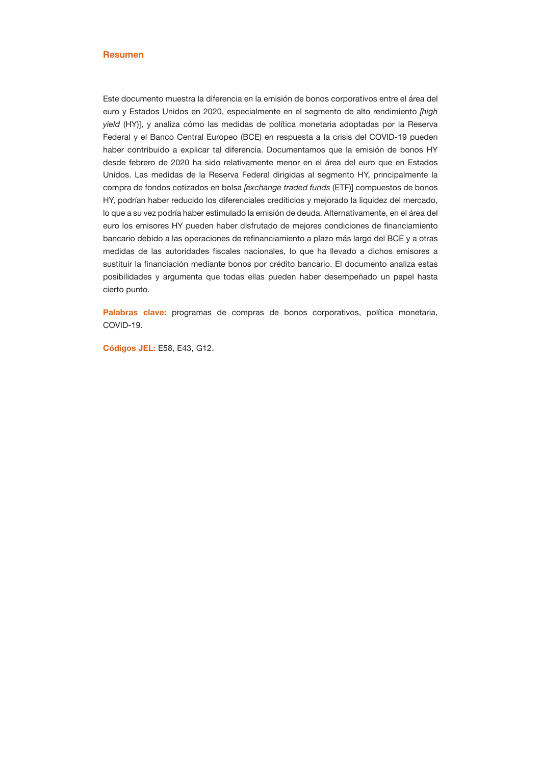#### Resumen

Este documento muestra la diferencia en la emisión de bonos corporativos entre el área del euro y Estados Unidos en 2020, especialmente en el segmento de alto rendimiento *[high yield* (HY)], y analiza cómo las medidas de política monetaria adoptadas por la Reserva Federal y el Banco Central Europeo (BCE) en respuesta a la crisis del COVID-19 pueden haber contribuido a explicar tal diferencia. Documentamos que la emisión de bonos HY desde febrero de 2020 ha sido relativamente menor en el área del euro que en Estados Unidos. Las medidas de la Reserva Federal dirigidas al segmento HY, principalmente la compra de fondos cotizados en bolsa *[exchange traded funds* (ETF)] compuestos de bonos HY, podrían haber reducido los diferenciales crediticios y mejorado la liquidez del mercado, lo que a su vez podría haber estimulado la emisión de deuda. Alternativamente, en el área del euro los emisores HY pueden haber disfrutado de mejores condiciones de financiamiento bancario debido a las operaciones de refinanciamiento a plazo más largo del BCE y a otras medidas de las autoridades fiscales nacionales, lo que ha llevado a dichos emisores a sustituir la financiación mediante bonos por crédito bancario. El documento analiza estas posibilidades y argumenta que todas ellas pueden haber desempeñado un papel hasta cierto punto.

Palabras clave: programas de compras de bonos corporativos, política monetaria, COVID-19.

Códigos JEL: E58, E43, G12.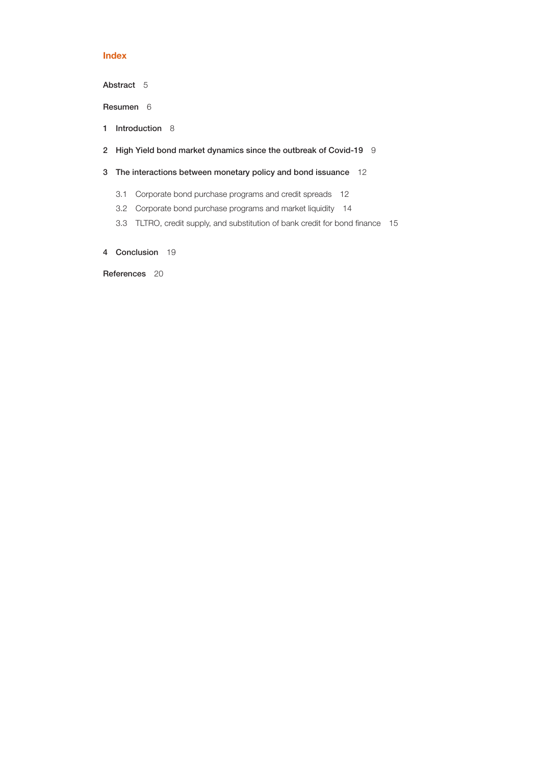# Index

Abstract 5

Resumen 6

- 1 Introduction 8
- 2 High Yield bond market dynamics since the outbreak of Covid-19 9
- 3 The interactions between monetary policy and bond issuance 12
	- 3.1 Corporate bond purchase programs and credit spreads 12
	- 3.2 Corporate bond purchase programs and market liquidity 14
	- 3.3 TLTRO, credit supply, and substitution of bank credit for bond finance 15

4 Conclusion 19

References 20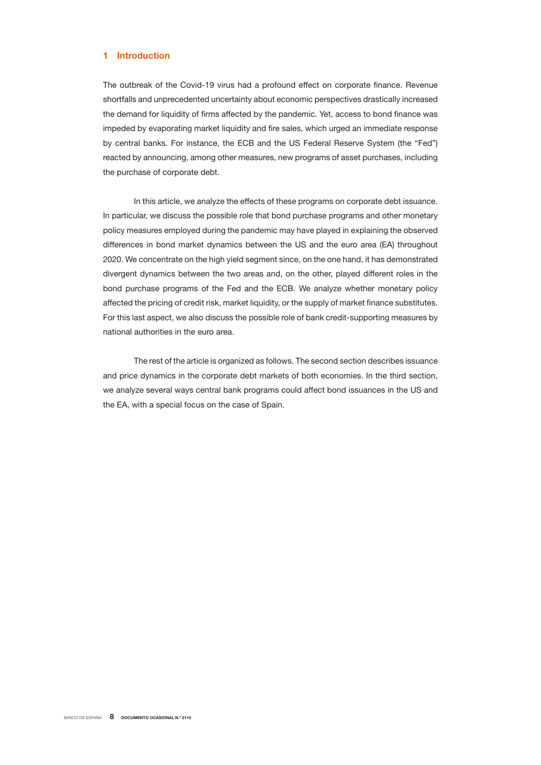# 1 Introduction

The outbreak of the Covid-19 virus had a profound effect on corporate finance. Revenue shortfalls and unprecedented uncertainty about economic perspectives drastically increased the demand for liquidity of firms affected by the pandemic. Yet, access to bond finance was impeded by evaporating market liquidity and fire sales, which urged an immediate response by central banks. For instance, the ECB and the US Federal Reserve System (the "Fed") reacted by announcing, among other measures, new programs of asset purchases, including the purchase of corporate debt.

In this article, we analyze the effects of these programs on corporate debt issuance. In particular, we discuss the possible role that bond purchase programs and other monetary policy measures employed during the pandemic may have played in explaining the observed differences in bond market dynamics between the US and the euro area (EA) throughout 2020. We concentrate on the high yield segment since, on the one hand, it has demonstrated divergent dynamics between the two areas and, on the other, played different roles in the bond purchase programs of the Fed and the ECB. We analyze whether monetary policy affected the pricing of credit risk, market liquidity, or the supply of market finance substitutes. For this last aspect, we also discuss the possible role of bank credit-supporting measures by national authorities in the euro area.

The rest of the article is organized as follows. The second section describes issuance and price dynamics in the corporate debt markets of both economies. In the third section, we analyze several ways central bank programs could affect bond issuances in the US and the EA, with a special focus on the case of Spain.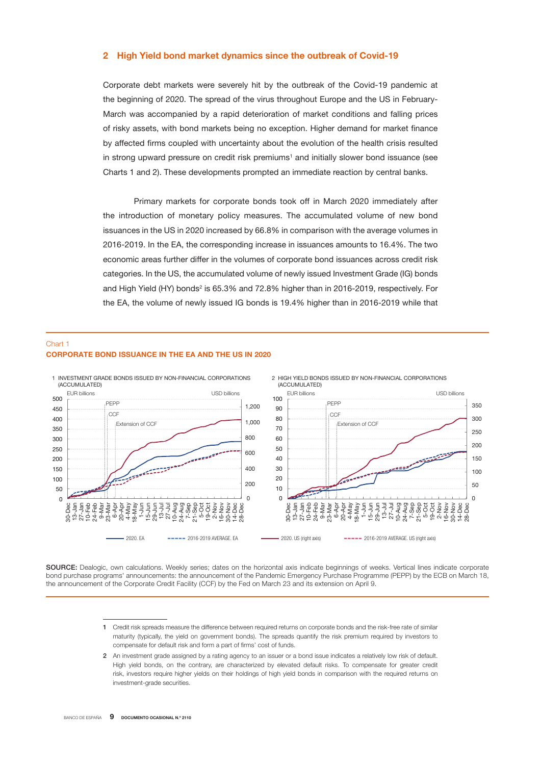#### 2 High Yield bond market dynamics since the outbreak of Covid-19

Corporate debt markets were severely hit by the outbreak of the Covid-19 pandemic at the beginning of 2020. The spread of the virus throughout Europe and the US in February-March was accompanied by a rapid deterioration of market conditions and falling prices of risky assets, with bond markets being no exception. Higher demand for market finance by affected firms coupled with uncertainty about the evolution of the health crisis resulted in strong upward pressure on credit risk premiums<sup>1</sup> and initially slower bond issuance (see Charts 1 and 2). These developments prompted an immediate reaction by central banks.

Primary markets for corporate bonds took off in March 2020 immediately after the introduction of monetary policy measures. The accumulated volume of new bond issuances in the US in 2020 increased by 66.8% in comparison with the average volumes in 2016-2019. In the EA, the corresponding increase in issuances amounts to 16.4%. The two economic areas further differ in the volumes of corporate bond issuances across credit risk categories. In the US, the accumulated volume of newly issued Investment Grade (IG) bonds and High Yield (HY) bonds<sup>2</sup> is 65.3% and 72.8% higher than in 2016-2019, respectively. For the EA, the volume of newly issued IG bonds is 19.4% higher than in 2016-2019 while that

#### CORPORATE BOND ISSUANCE IN THE EA AND THE US IN 2020 Chart 1



SOURCE: Dealogic, own calculations. Weekly series; dates on the horizontal axis indicate beginnings of weeks. Vertical lines indicate corporate bond purchase programs' announcements: the announcement of the Pandemic Emergency Purchase Programme (PEPP) by the ECB on March 18, the announcement of the Corporate Credit Facility (CCF) by the Fed on March 23 and its extension on April 9.

<sup>1</sup> Credit risk spreads measure the difference between required returns on corporate bonds and the risk-free rate of similar maturity (typically, the yield on government bonds). The spreads quantify the risk premium required by investors to compensate for default risk and form a part of firms' cost of funds.

<sup>2</sup> An investment grade assigned by a rating agency to an issuer or a bond issue indicates a relatively low risk of default. High yield bonds, on the contrary, are characterized by elevated default risks. To compensate for greater credit risk, investors require higher yields on their holdings of high yield bonds in comparison with the required returns on investment-grade securities.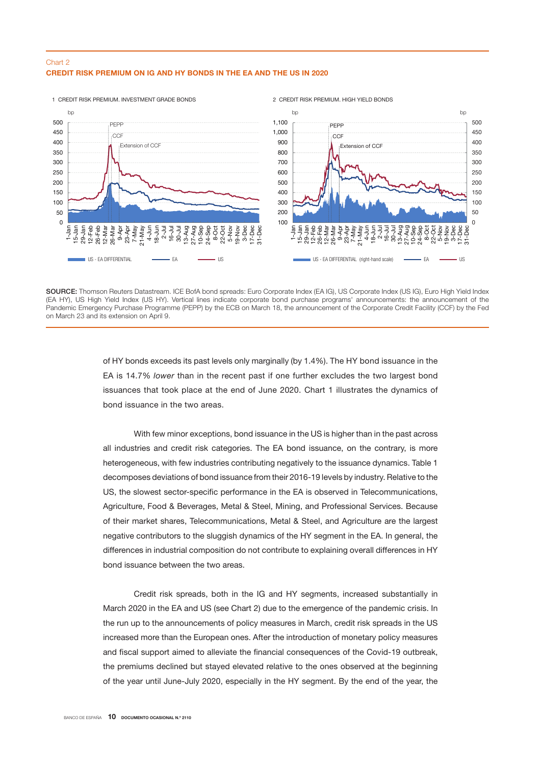#### CREDIT RISK PREMIUM ON IG AND HY BONDS IN THE EA AND THE US IN 2020 Chart 2



SOURCE: Thomson Reuters Datastream. ICE BofA bond spreads: Euro Corporate Index (EA IG), US Corporate Index (US IG), Euro High Yield Index (EA HY), US High Yield Index (US HY). Vertical lines indicate corporate bond purchase programs' announcements: the announcement of the Pandemic Emergency Purchase Programme (PEPP) by the ECB on March 18, the announcement of the Corporate Credit Facility (CCF) by the Fed on March 23 and its extension on April 9.

> of HY bonds exceeds its past levels only marginally (by 1.4%). The HY bond issuance in the EA is 14.7% *lower* than in the recent past if one further excludes the two largest bond issuances that took place at the end of June 2020. Chart 1 illustrates the dynamics of bond issuance in the two areas.

> With few minor exceptions, bond issuance in the US is higher than in the past across all industries and credit risk categories. The EA bond issuance, on the contrary, is more heterogeneous, with few industries contributing negatively to the issuance dynamics. Table 1 decomposes deviations of bond issuance from their 2016-19 levels by industry. Relative to the US, the slowest sector-specific performance in the EA is observed in Telecommunications, Agriculture, Food & Beverages, Metal & Steel, Mining, and Professional Services. Because of their market shares, Telecommunications, Metal & Steel, and Agriculture are the largest negative contributors to the sluggish dynamics of the HY segment in the EA. In general, the differences in industrial composition do not contribute to explaining overall differences in HY bond issuance between the two areas.

> Credit risk spreads, both in the IG and HY segments, increased substantially in March 2020 in the EA and US (see Chart 2) due to the emergence of the pandemic crisis. In the run up to the announcements of policy measures in March, credit risk spreads in the US increased more than the European ones. After the introduction of monetary policy measures and fiscal support aimed to alleviate the financial consequences of the Covid-19 outbreak, the premiums declined but stayed elevated relative to the ones observed at the beginning of the year until June-July 2020, especially in the HY segment. By the end of the year, the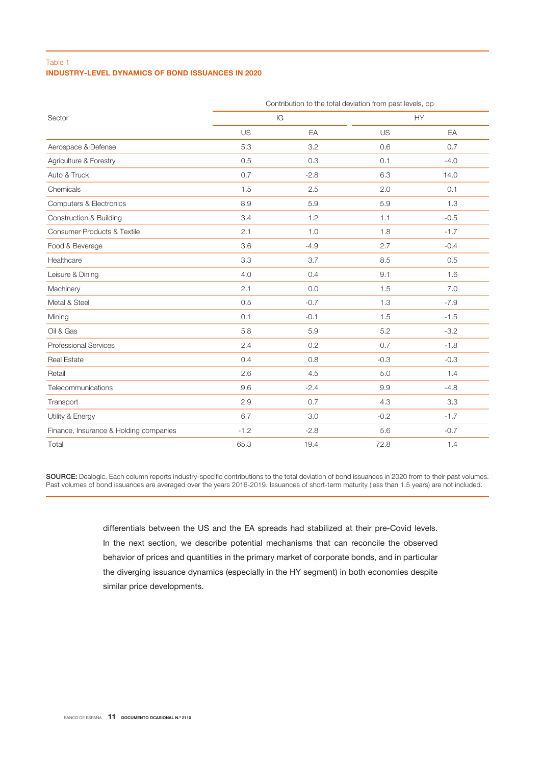### INDUSTRY-LEVEL DYNAMICS OF BOND ISSUANCES IN 2020 Table 1

|                                        | Contribution to the total deviation from past levels, pp |        |           |        |  |  |
|----------------------------------------|----------------------------------------------------------|--------|-----------|--------|--|--|
| Sector                                 |                                                          | IG     | HY        |        |  |  |
|                                        | <b>US</b>                                                | EA     | <b>US</b> | EA     |  |  |
| Aerospace & Defense                    | 5.3                                                      | 3.2    | 0.6       | 0.7    |  |  |
| Agriculture & Forestry                 | 0.5                                                      | 0.3    | 0.1       | $-4.0$ |  |  |
| Auto & Truck                           | 0.7                                                      | $-2.8$ | 6.3       | 14.0   |  |  |
| Chemicals                              | 1.5                                                      | 2.5    | 2.0       | 0.1    |  |  |
| <b>Computers &amp; Electronics</b>     | 8.9                                                      | 5.9    | 5.9       | 1.3    |  |  |
| Construction & Building                | 3.4                                                      | 1.2    | 1.1       | $-0.5$ |  |  |
| Consumer Products & Textile            | 2.1                                                      | 1.0    | 1.8       | $-1.7$ |  |  |
| Food & Beverage                        | 3.6                                                      | $-4.9$ | 2.7       | $-0.4$ |  |  |
| Healthcare                             | 3.3                                                      | 3.7    | 8.5       | 0.5    |  |  |
| Leisure & Dining                       | 4.0                                                      | 0.4    | 9.1       | 1.6    |  |  |
| Machinery                              | 2.1                                                      | 0.0    | 1.5       | 7.0    |  |  |
| Metal & Steel                          | 0.5                                                      | $-0.7$ | 1.3       | $-7.9$ |  |  |
| Mining                                 | 0.1                                                      | $-0.1$ | 1.5       | $-1.5$ |  |  |
| Oil & Gas                              | 5.8                                                      | 5.9    | 5.2       | $-3.2$ |  |  |
| <b>Professional Services</b>           | 2.4                                                      | 0.2    | 0.7       | $-1.8$ |  |  |
| <b>Real Estate</b>                     | 0.4                                                      | 0.8    | $-0.3$    | $-0.3$ |  |  |
| Retail                                 | 2.6                                                      | 4.5    | 5.0       | 1.4    |  |  |
| Telecommunications                     | 9.6                                                      | $-2.4$ | 9.9       | $-4.8$ |  |  |
| Transport                              | 2.9                                                      | 0.7    | 4.3       | 3.3    |  |  |
| Utility & Energy                       | 6.7                                                      | 3.0    | $-0.2$    | $-1.7$ |  |  |
| Finance, Insurance & Holding companies | $-1.2$                                                   | $-2.8$ | 5.6       | $-0.7$ |  |  |
| Total                                  | 65.3                                                     | 19.4   | 72.8      | 1.4    |  |  |

SOURCE: Dealogic. Each column reports industry-specific contributions to the total deviation of bond issuances in 2020 from to their past volumes. Past volumes of bond issuances are averaged over the years 2016-2019. Issuances of short-term maturity (less than 1.5 years) are not included.

> differentials between the US and the EA spreads had stabilized at their pre-Covid levels. In the next section, we describe potential mechanisms that can reconcile the observed behavior of prices and quantities in the primary market of corporate bonds, and in particular the diverging issuance dynamics (especially in the HY segment) in both economies despite similar price developments.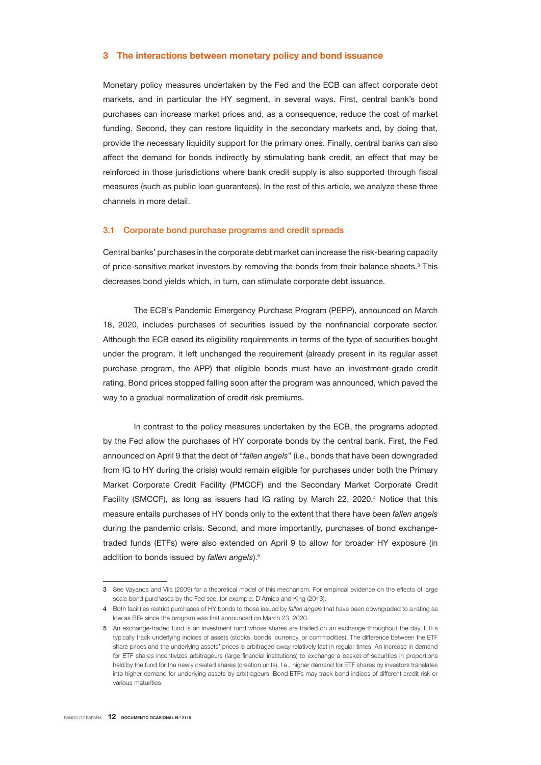#### 3 The interactions between monetary policy and bond issuance

Monetary policy measures undertaken by the Fed and the ECB can affect corporate debt markets, and in particular the HY segment, in several ways. First, central bank's bond purchases can increase market prices and, as a consequence, reduce the cost of market funding. Second, they can restore liquidity in the secondary markets and, by doing that, provide the necessary liquidity support for the primary ones. Finally, central banks can also affect the demand for bonds indirectly by stimulating bank credit, an effect that may be reinforced in those jurisdictions where bank credit supply is also supported through fiscal measures (such as public loan guarantees). In the rest of this article, we analyze these three channels in more detail.

#### 3.1 Corporate bond purchase programs and credit spreads

Central banks' purchases in the corporate debt market can increase the risk-bearing capacity of price-sensitive market investors by removing the bonds from their balance sheets.<sup>3</sup> This decreases bond yields which, in turn, can stimulate corporate debt issuance.

The ECB's Pandemic Emergency Purchase Program (PEPP), announced on March 18, 2020, includes purchases of securities issued by the nonfinancial corporate sector. Although the ECB eased its eligibility requirements in terms of the type of securities bought under the program, it left unchanged the requirement (already present in its regular asset purchase program, the APP) that eligible bonds must have an investment-grade credit rating. Bond prices stopped falling soon after the program was announced, which paved the way to a gradual normalization of credit risk premiums.

In contrast to the policy measures undertaken by the ECB, the programs adopted by the Fed allow the purchases of HY corporate bonds by the central bank. First, the Fed announced on April 9 that the debt of "*fallen angels*" (i.e., bonds that have been downgraded from IG to HY during the crisis) would remain eligible for purchases under both the Primary Market Corporate Credit Facility (PMCCF) and the Secondary Market Corporate Credit Facility (SMCCF), as long as issuers had IG rating by March 22, 2020.<sup>4</sup> Notice that this measure entails purchases of HY bonds only to the extent that there have been *fallen angels*  during the pandemic crisis. Second, and more importantly, purchases of bond exchangetraded funds (ETFs) were also extended on April 9 to allow for broader HY exposure (in addition to bonds issued by *fallen angels*).5

<sup>3</sup> See Vayanos and Vila (2009) for a theoretical model of this mechanism. For empirical evidence on the effects of large scale bond purchases by the Fed see, for example, D'Amico and King (2013).

<sup>4</sup> Both facilities restrict purchases of HY bonds to those issued by *fallen angels* that have been downgraded to a rating as low as BB- since the program was first announced on March 23, 2020.

<sup>5</sup> An exchange-traded fund is an investment fund whose shares are traded on an exchange throughout the day. ETFs typically track underlying indices of assets (stocks, bonds, currency, or commodities). The difference between the ETF share prices and the underlying assets' prices is arbitraged away relatively fast in regular times. An increase in demand for ETF shares incentivizes arbitrageurs (large financial institutions) to exchange a basket of securities in proportions held by the fund for the newly created shares (creation units). I.e., higher demand for ETF shares by investors translates into higher demand for underlying assets by arbitrageurs. Bond ETFs may track bond indices of different credit risk or various maturities.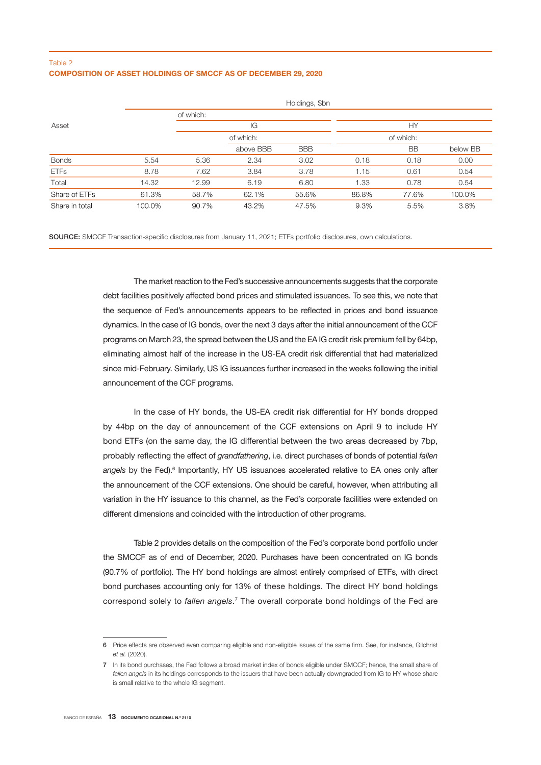#### COMPOSITION OF ASSET HOLDINGS OF SMCCF AS OF DECEMBER 29, 2020 Table 2

|                |        | Holdings, \$bn |           |            |           |           |          |  |  |  |
|----------------|--------|----------------|-----------|------------|-----------|-----------|----------|--|--|--|
|                |        | of which:      |           |            |           |           |          |  |  |  |
| Asset          |        | IG             |           |            | <b>HY</b> |           |          |  |  |  |
|                |        | of which:      |           |            | of which: |           |          |  |  |  |
|                |        |                | above BBB | <b>BBB</b> |           | <b>BB</b> | below BB |  |  |  |
| <b>Bonds</b>   | 5.54   | 5.36           | 2.34      | 3.02       | 0.18      | 0.18      | 0.00     |  |  |  |
| <b>ETFs</b>    | 8.78   | 7.62           | 3.84      | 3.78       | 1.15      | 0.61      | 0.54     |  |  |  |
| Total          | 14.32  | 12.99          | 6.19      | 6.80       | 1.33      | 0.78      | 0.54     |  |  |  |
| Share of ETFs  | 61.3%  | 58.7%          | 62.1%     | 55.6%      | 86.8%     | 77.6%     | 100.0%   |  |  |  |
| Share in total | 100.0% | 90.7%          | 43.2%     | 47.5%      | 9.3%      | 5.5%      | 3.8%     |  |  |  |

SOURCE: SMCCF Transaction-specific disclosures from January 11, 2021; ETFs portfolio disclosures, own calculations.

The market reaction to the Fed's successive announcements suggests that the corporate debt facilities positively affected bond prices and stimulated issuances. To see this, we note that the sequence of Fed's announcements appears to be reflected in prices and bond issuance dynamics. In the case of IG bonds, over the next 3 days after the initial announcement of the CCF programs on March 23, the spread between the US and the EA IG credit risk premium fell by 64bp, eliminating almost half of the increase in the US-EA credit risk differential that had materialized since mid-February. Similarly, US IG issuances further increased in the weeks following the initial announcement of the CCF programs.

In the case of HY bonds, the US-EA credit risk differential for HY bonds dropped by 44bp on the day of announcement of the CCF extensions on April 9 to include HY bond ETFs (on the same day, the IG differential between the two areas decreased by 7bp, probably reflecting the effect of *grandfathering*, i.e. direct purchases of bonds of potential *fallen*  angels by the Fed).<sup>6</sup> Importantly, HY US issuances accelerated relative to EA ones only after the announcement of the CCF extensions. One should be careful, however, when attributing all variation in the HY issuance to this channel, as the Fed's corporate facilities were extended on different dimensions and coincided with the introduction of other programs.

Table 2 provides details on the composition of the Fed's corporate bond portfolio under the SMCCF as of end of December, 2020. Purchases have been concentrated on IG bonds (90.7% of portfolio). The HY bond holdings are almost entirely comprised of ETFs, with direct bond purchases accounting only for 13% of these holdings. The direct HY bond holdings correspond solely to *fallen angels*. 7 The overall corporate bond holdings of the Fed are

<sup>6</sup> Price effects are observed even comparing eligible and non-eligible issues of the same firm. See, for instance, Gilchrist *et al.* (2020).

<sup>7</sup> In its bond purchases, the Fed follows a broad market index of bonds eligible under SMCCF; hence, the small share of *fallen angels* in its holdings corresponds to the issuers that have been actually downgraded from IG to HY whose share is small relative to the whole IG segment.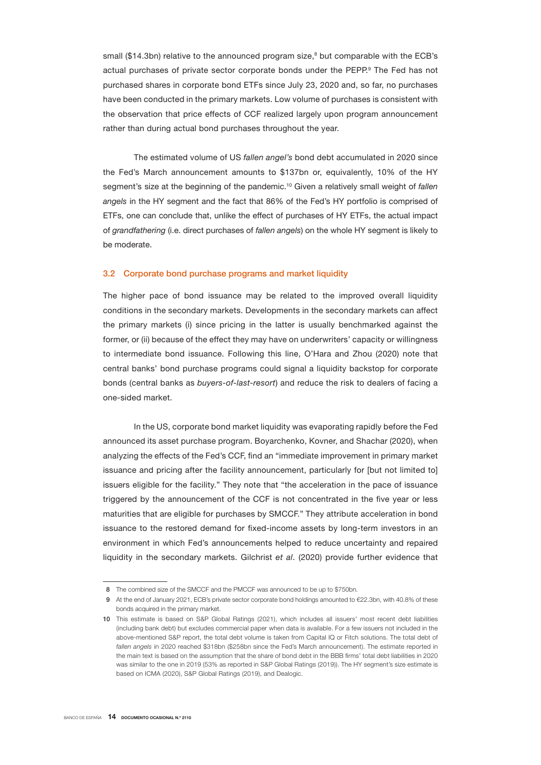small (\$14.3bn) relative to the announced program size, $8$  but comparable with the ECB's actual purchases of private sector corporate bonds under the PEPP.9 The Fed has not purchased shares in corporate bond ETFs since July 23, 2020 and, so far, no purchases have been conducted in the primary markets. Low volume of purchases is consistent with the observation that price effects of CCF realized largely upon program announcement rather than during actual bond purchases throughout the year.

The estimated volume of US *fallen angel's* bond debt accumulated in 2020 since the Fed's March announcement amounts to \$137bn or, equivalently, 10% of the HY segment's size at the beginning of the pandemic.10 Given a relatively small weight of *fallen angels* in the HY segment and the fact that 86% of the Fed's HY portfolio is comprised of ETFs, one can conclude that, unlike the effect of purchases of HY ETFs, the actual impact of *grandfathering* (i.e. direct purchases of *fallen angels*) on the whole HY segment is likely to be moderate.

#### 3.2 Corporate bond purchase programs and market liquidity

The higher pace of bond issuance may be related to the improved overall liquidity conditions in the secondary markets. Developments in the secondary markets can affect the primary markets (i) since pricing in the latter is usually benchmarked against the former, or (ii) because of the effect they may have on underwriters' capacity or willingness to intermediate bond issuance. Following this line, O'Hara and Zhou (2020) note that central banks' bond purchase programs could signal a liquidity backstop for corporate bonds (central banks as *buyers-of-last-resort*) and reduce the risk to dealers of facing a one-sided market.

In the US, corporate bond market liquidity was evaporating rapidly before the Fed announced its asset purchase program. Boyarchenko, Kovner, and Shachar (2020), when analyzing the effects of the Fed's CCF, find an "immediate improvement in primary market issuance and pricing after the facility announcement, particularly for [but not limited to] issuers eligible for the facility." They note that "the acceleration in the pace of issuance triggered by the announcement of the CCF is not concentrated in the five year or less maturities that are eligible for purchases by SMCCF." They attribute acceleration in bond issuance to the restored demand for fixed-income assets by long-term investors in an environment in which Fed's announcements helped to reduce uncertainty and repaired liquidity in the secondary markets. Gilchrist *et al*. (2020) provide further evidence that

<sup>8</sup> The combined size of the SMCCF and the PMCCF was announced to be up to \$750bn.

<sup>9</sup> At the end of January 2021, ECB's private sector corporate bond holdings amounted to €22.3bn, with 40.8% of these bonds acquired in the primary market.

<sup>10</sup> This estimate is based on S&P Global Ratings (2021), which includes all issuers' most recent debt liabilities (including bank debt) but excludes commercial paper when data is available. For a few issuers not included in the above-mentioned S&P report, the total debt volume is taken from Capital IQ or Fitch solutions. The total debt of *fallen angels* in 2020 reached \$318bn (\$258bn since the Fed's March announcement). The estimate reported in the main text is based on the assumption that the share of bond debt in the BBB firms' total debt liabilities in 2020 was similar to the one in 2019 (53% as reported in S&P Global Ratings (2019)). The HY segment's size estimate is based on ICMA (2020), S&P Global Ratings (2019), and Dealogic.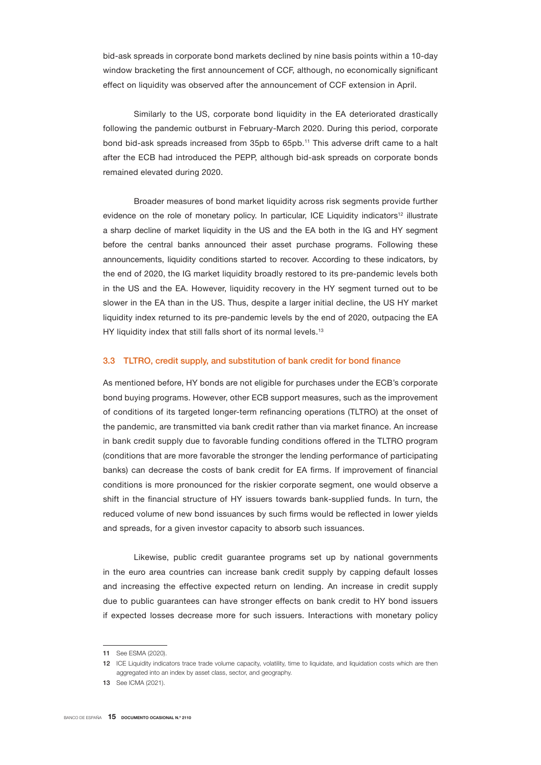bid-ask spreads in corporate bond markets declined by nine basis points within a 10-day window bracketing the first announcement of CCF, although, no economically significant effect on liquidity was observed after the announcement of CCF extension in April.

Similarly to the US, corporate bond liquidity in the EA deteriorated drastically following the pandemic outburst in February-March 2020. During this period, corporate bond bid-ask spreads increased from 35pb to 65pb.11 This adverse drift came to a halt after the ECB had introduced the PEPP, although bid-ask spreads on corporate bonds remained elevated during 2020.

Broader measures of bond market liquidity across risk segments provide further evidence on the role of monetary policy. In particular, ICE Liquidity indicators<sup>12</sup> illustrate a sharp decline of market liquidity in the US and the EA both in the IG and HY segment before the central banks announced their asset purchase programs. Following these announcements, liquidity conditions started to recover. According to these indicators, by the end of 2020, the IG market liquidity broadly restored to its pre-pandemic levels both in the US and the EA. However, liquidity recovery in the HY segment turned out to be slower in the EA than in the US. Thus, despite a larger initial decline, the US HY market liquidity index returned to its pre-pandemic levels by the end of 2020, outpacing the EA HY liquidity index that still falls short of its normal levels.<sup>13</sup>

#### 3.3 TLTRO, credit supply, and substitution of bank credit for bond finance

As mentioned before, HY bonds are not eligible for purchases under the ECB's corporate bond buying programs. However, other ECB support measures, such as the improvement of conditions of its targeted longer-term refinancing operations (TLTRO) at the onset of the pandemic, are transmitted via bank credit rather than via market finance. An increase in bank credit supply due to favorable funding conditions offered in the TLTRO program (conditions that are more favorable the stronger the lending performance of participating banks) can decrease the costs of bank credit for EA firms. If improvement of financial conditions is more pronounced for the riskier corporate segment, one would observe a shift in the financial structure of HY issuers towards bank-supplied funds. In turn, the reduced volume of new bond issuances by such firms would be reflected in lower yields and spreads, for a given investor capacity to absorb such issuances.

Likewise, public credit guarantee programs set up by national governments in the euro area countries can increase bank credit supply by capping default losses and increasing the effective expected return on lending. An increase in credit supply due to public guarantees can have stronger effects on bank credit to HY bond issuers if expected losses decrease more for such issuers. Interactions with monetary policy

<sup>11</sup> See ESMA (2020).

<sup>12</sup> ICE Liquidity indicators trace trade volume capacity, volatility, time to liquidate, and liquidation costs which are then aggregated into an index by asset class, sector, and geography.

<sup>13</sup> See ICMA (2021).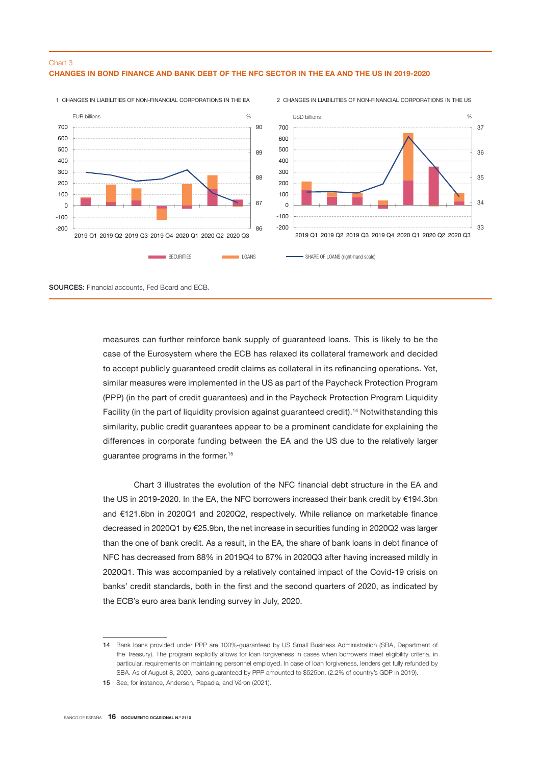#### CHANGES IN BOND FINANCE AND BANK DEBT OF THE NFC SECTOR IN THE EA AND THE US IN 2019-2020 Chart 3

1 CHANGES IN LIABILITIES OF NON-FINANCIAL CORPORATIONS IN THE EA

2 CHANGES IN LIABILITIES OF NON-FINANCIAL CORPORATIONS IN THE US



SOURCES: Financial accounts, Fed Board and ECB.

measures can further reinforce bank supply of guaranteed loans. This is likely to be the case of the Eurosystem where the ECB has relaxed its collateral framework and decided to accept publicly guaranteed credit claims as collateral in its refinancing operations. Yet, similar measures were implemented in the US as part of the Paycheck Protection Program (PPP) (in the part of credit guarantees) and in the Paycheck Protection Program Liquidity Facility (in the part of liquidity provision against guaranteed credit).<sup>14</sup> Notwithstanding this similarity, public credit guarantees appear to be a prominent candidate for explaining the differences in corporate funding between the EA and the US due to the relatively larger guarantee programs in the former.15

Chart 3 illustrates the evolution of the NFC financial debt structure in the EA and the US in 2019-2020. In the EA, the NFC borrowers increased their bank credit by €194.3bn and €121.6bn in 2020Q1 and 2020Q2, respectively. While reliance on marketable finance decreased in 2020Q1 by €25.9bn, the net increase in securities funding in 2020Q2 was larger than the one of bank credit. As a result, in the EA, the share of bank loans in debt finance of NFC has decreased from 88% in 2019Q4 to 87% in 2020Q3 after having increased mildly in 2020Q1. This was accompanied by a relatively contained impact of the Covid-19 crisis on banks' credit standards, both in the first and the second quarters of 2020, as indicated by the ECB's euro area bank lending survey in July, 2020.

<sup>14</sup> Bank loans provided under PPP are 100%-guaranteed by US Small Business Administration (SBA, Department of the Treasury). The program explicitly allows for loan forgiveness in cases when borrowers meet eligibility criteria, in particular, requirements on maintaining personnel employed. In case of loan forgiveness, lenders get fully refunded by SBA. As of August 8, 2020, loans guaranteed by PPP amounted to \$525bn. (2.2% of country's GDP in 2019).

<sup>15</sup> See, for instance, Anderson, Papadia, and Véron (2021).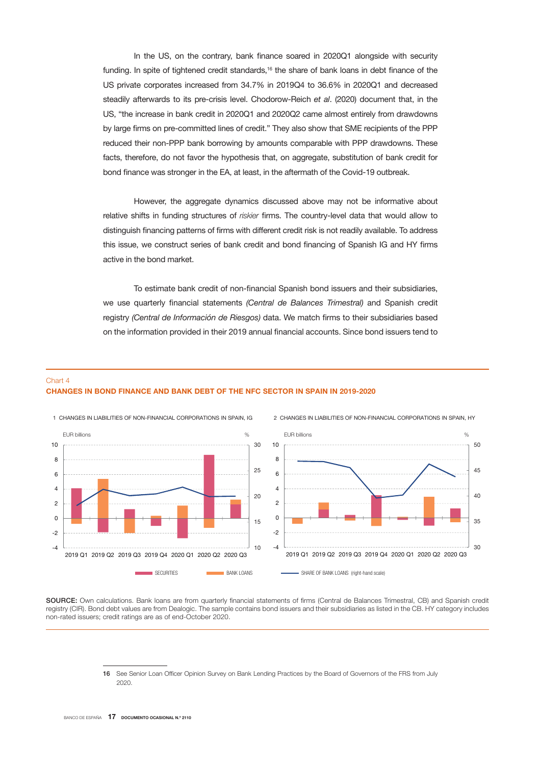In the US, on the contrary, bank finance soared in 2020Q1 alongside with security funding. In spite of tightened credit standards,<sup>16</sup> the share of bank loans in debt finance of the US private corporates increased from 34.7% in 2019Q4 to 36.6% in 2020Q1 and decreased steadily afterwards to its pre-crisis level. Chodorow-Reich *et al*. (2020) document that, in the US, "the increase in bank credit in 2020Q1 and 2020Q2 came almost entirely from drawdowns by large firms on pre-committed lines of credit." They also show that SME recipients of the PPP reduced their non-PPP bank borrowing by amounts comparable with PPP drawdowns. These facts, therefore, do not favor the hypothesis that, on aggregate, substitution of bank credit for bond finance was stronger in the EA, at least, in the aftermath of the Covid-19 outbreak.

However, the aggregate dynamics discussed above may not be informative about relative shifts in funding structures of *riskier* firms. The country-level data that would allow to distinguish financing patterns of firms with different credit risk is not readily available. To address this issue, we construct series of bank credit and bond financing of Spanish IG and HY firms active in the bond market.

To estimate bank credit of non-financial Spanish bond issuers and their subsidiaries, we use quarterly financial statements *(Central de Balances Trimestral)* and Spanish credit registry *(Central de Información de Riesgos)* data. We match firms to their subsidiaries based on the information provided in their 2019 annual financial accounts. Since bond issuers tend to

#### CHANGES IN BOND FINANCE AND BANK DEBT OF THE NFC SECTOR IN SPAIN IN 2019-2020



SOURCE: Own calculations. Bank loans are from quarterly financial statements of firms (Central de Balances Trimestral, CB) and Spanish credit registry (CIR). Bond debt values are from Dealogic. The sample contains bond issuers and their subsidiaries as listed in the CB. HY category includes non-rated issuers; credit ratings are as of end-October 2020.

Chart 4

<sup>16</sup> See Senior Loan Officer Opinion Survey on Bank Lending Practices by the Board of Governors of the FRS from July 2020.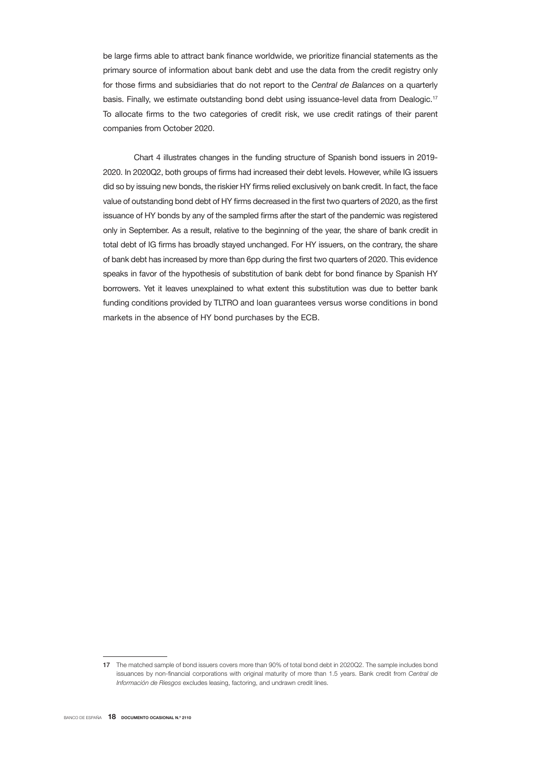be large firms able to attract bank finance worldwide, we prioritize financial statements as the primary source of information about bank debt and use the data from the credit registry only for those firms and subsidiaries that do not report to the *Central de Balances* on a quarterly basis. Finally, we estimate outstanding bond debt using issuance-level data from Dealogic.<sup>17</sup> To allocate firms to the two categories of credit risk, we use credit ratings of their parent companies from October 2020.

Chart 4 illustrates changes in the funding structure of Spanish bond issuers in 2019- 2020. In 2020Q2, both groups of firms had increased their debt levels. However, while IG issuers did so by issuing new bonds, the riskier HY firms relied exclusively on bank credit. In fact, the face value of outstanding bond debt of HY firms decreased in the first two quarters of 2020, as the first issuance of HY bonds by any of the sampled firms after the start of the pandemic was registered only in September. As a result, relative to the beginning of the year, the share of bank credit in total debt of IG firms has broadly stayed unchanged. For HY issuers, on the contrary, the share of bank debt has increased by more than 6pp during the first two quarters of 2020. This evidence speaks in favor of the hypothesis of substitution of bank debt for bond finance by Spanish HY borrowers. Yet it leaves unexplained to what extent this substitution was due to better bank funding conditions provided by TLTRO and loan guarantees versus worse conditions in bond markets in the absence of HY bond purchases by the ECB.

<sup>17</sup> The matched sample of bond issuers covers more than 90% of total bond debt in 2020Q2. The sample includes bond issuances by non-financial corporations with original maturity of more than 1.5 years. Bank credit from *Central de Información de Riesgos* excludes leasing, factoring, and undrawn credit lines.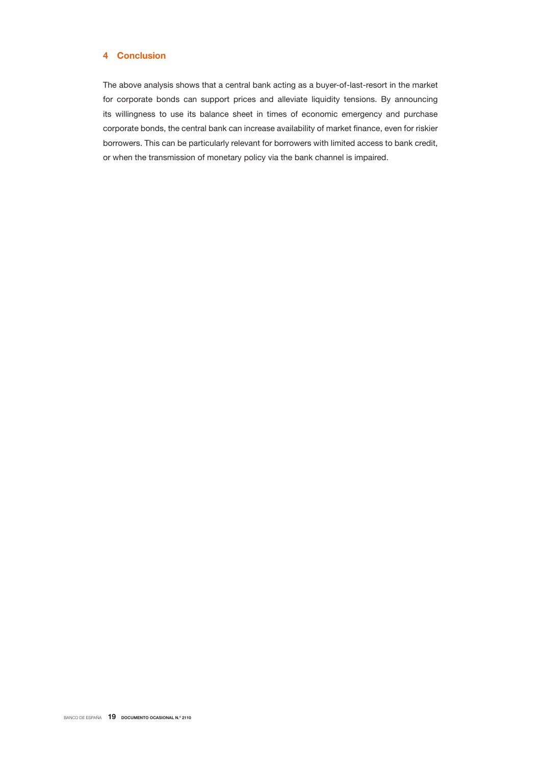# 4 Conclusion

The above analysis shows that a central bank acting as a buyer-of-last-resort in the market for corporate bonds can support prices and alleviate liquidity tensions. By announcing its willingness to use its balance sheet in times of economic emergency and purchase corporate bonds, the central bank can increase availability of market finance, even for riskier borrowers. This can be particularly relevant for borrowers with limited access to bank credit, or when the transmission of monetary policy via the bank channel is impaired.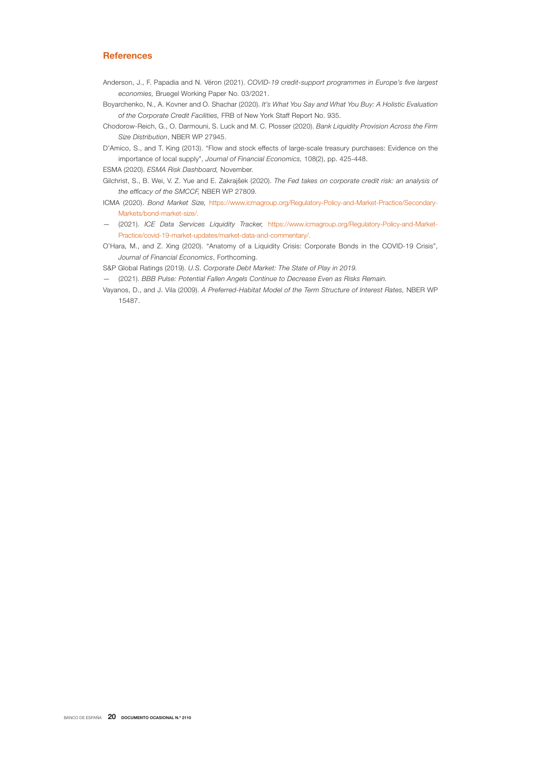#### **References**

- Anderson, J., F. Papadia and N. Véron (2021). COVID-19 credit-support programmes in Europe's five largest *economies,* Bruegel Working Paper No. 03/2021.
- Boyarchenko, N., A. Kovner and O. Shachar (2020). It's What You Say and What You Buy: A Holistic Evaluation *of the Corporate Credit Facilities,* FRB of New York Staff Report No. 935.
- Chodorow-Reich, G., O. Darmouni, S. Luck and M. C. Plosser (2020). Bank Liquidity Provision Across the Firm *Size Distribution*, NBER WP 27945.
- D'Amico, S., and T. King (2013). "Flow and stock effects of large-scale treasury purchases: Evidence on the importance of local supply", *Journal of Financial Economics,* 108(2), pp. 425-448.
- ESMA (2020). *ESMA Risk Dashboard,* November.
- Gilchrist, S., B. Wei, V. Z. Yue and E. Zakrajšek (2020). *The Fed takes on corporate credit risk: an analysis of*  the efficacy of the SMCCF, NBER WP 27809.
- ICMA (2020). *Bond Market Size,* [https://www.icmagroup.org/Regulatory-Policy-and-Market-Practice/Secondary-](https://www.icmagroup.org/Regulatory-Policy-and-Market-Practice/Secondary-Markets/bond-market-size/)[Markets/bond-market-size/.](https://www.icmagroup.org/Regulatory-Policy-and-Market-Practice/Secondary-Markets/bond-market-size/)
- (2021). ICE Data Services Liquidity Tracker, [https://www.icmagroup.org/Regulatory-Policy-and-Market-](https://www.icmagroup.org/Regulatory-Policy-and-Market-Practice/covid-19-market-updates/market-data-and-commentary/#ICE%20Data%20Services%20Liquidity%20Tracker)[Practice/covid-19-market-updates/market-data-and-commentary/.](https://www.icmagroup.org/Regulatory-Policy-and-Market-Practice/covid-19-market-updates/market-data-and-commentary/#ICE%20Data%20Services%20Liquidity%20Tracker)
- O'Hara, M., and Z. Xing (2020). "Anatomy of a Liquidity Crisis: Corporate Bonds in the COVID-19 Crisis", *Journal of Financial Economics*, Forthcoming.
- S&P Global Ratings (2019). *U.S. Corporate Debt Market: The State of Play in 2019.*
- (2021). BBB Pulse: Potential Fallen Angels Continue to Decrease Even as Risks Remain.
- Vayanos, D., and J. Vila (2009). *A Preferred-Habitat Model of the Term Structure of Interest Rates,* NBER WP 15487.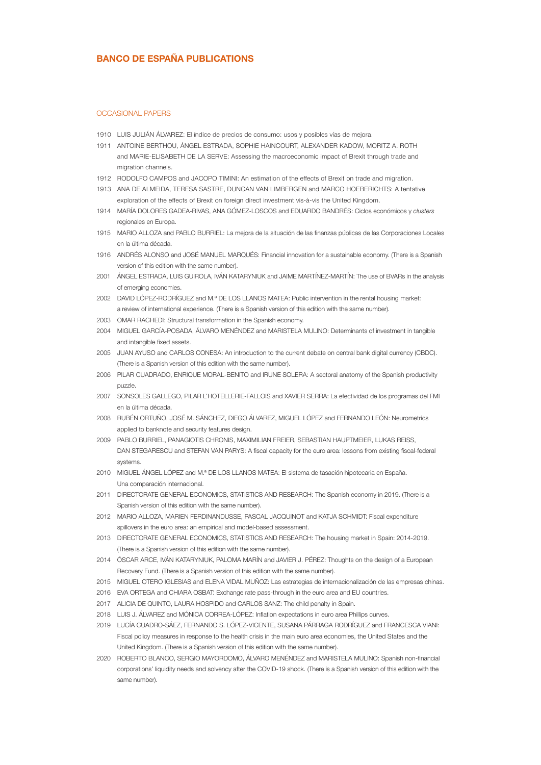## BANCO DE ESPAÑA PUBLICATIONS

#### OCCASIONAL PAPERS

- 1910 LUIS JULIÁN ÁLVAREZ: El índice de precios de consumo: usos y posibles vías de mejora.
- 1911 ANTOINE BERTHOU, ÁNGEL ESTRADA, SOPHIE HAINCOURT, ALEXANDER KADOW, MORITZ A. ROTH and MARIE-ELISABETH DE LA SERVE: Assessing the macroeconomic impact of Brexit through trade and migration channels.
- 1912 RODOLFO CAMPOS and JACOPO TIMINI: An estimation of the effects of Brexit on trade and migration.
- 1913 ANA DE ALMEIDA, TERESA SASTRE, DUNCAN VAN LIMBERGEN and MARCO HOEBERICHTS: A tentative exploration of the effects of Brexit on foreign direct investment vis-à-vis the United Kingdom.
- 1914 MARÍA DOLORES GADEA-RIVAS, ANA GÓMEZ-LOSCOS and EDUARDO BANDRÉS: Ciclos económicos y *clusters* regionales en Europa.
- 1915 MARIO ALLOZA and PABLO BURRIEL: La mejora de la situación de las finanzas públicas de las Corporaciones Locales en la última década.
- 1916 ANDRÉS ALONSO and JOSÉ MANUEL MARQUÉS: Financial innovation for a sustainable economy. (There is a Spanish version of this edition with the same number).
- 2001 ÁNGEL ESTRADA, LUIS GUIROLA, IVÁN KATARYNIUK and JAIME MARTÍNEZ-MARTÍN: The use of BVARs in the analysis of emerging economies.
- 2002 DAVID LÓPEZ-RODRÍGUEZ and M.ª DE LOS LLANOS MATEA: Public intervention in the rental housing market: a review of international experience. (There is a Spanish version of this edition with the same number).
- 2003 OMAR RACHEDI: Structural transformation in the Spanish economy.
- 2004 MIGUEL GARCÍA-POSADA, ÁLVARO MENÉNDEZ and MARISTELA MULINO: Determinants of investment in tangible and intangible fixed assets.
- 2005 JUAN AYUSO and CARLOS CONESA: An introduction to the current debate on central bank digital currency (CBDC). (There is a Spanish version of this edition with the same number).
- 2006 PILAR CUADRADO, ENRIQUE MORAL-BENITO and IRUNE SOLERA: A sectoral anatomy of the Spanish productivity puzzle.
- 2007 SONSOLES GALLEGO, PILAR L'HOTELLERIE-FALLOIS and XAVIER SERRA: La efectividad de los programas del FMI en la última década.
- 2008 RUBÉN ORTUÑO, JOSÉ M. SÁNCHEZ, DIEGO ÁLVAREZ, MIGUEL LÓPEZ and FERNANDO LEÓN: Neurometrics applied to banknote and security features design.
- 2009 PABLO BURRIEL, PANAGIOTIS CHRONIS, MAXIMILIAN FREIER, SEBASTIAN HAUPTMEIER, LUKAS REISS, DAN STEGARESCU and STEFAN VAN PARYS: A fiscal capacity for the euro area: lessons from existing fiscal-federal systems.
- 2010 MIGUEL ÁNGEL LÓPEZ and M.ª DE LOS LLANOS MATEA: El sistema de tasación hipotecaria en España. Una comparación internacional.
- 2011 DIRECTORATE GENERAL ECONOMICS, STATISTICS AND RESEARCH: The Spanish economy in 2019. (There is a Spanish version of this edition with the same number).
- 2012 MARIO ALLOZA, MARIEN FERDINANDUSSE, PASCAL JACQUINOT and KATJA SCHMIDT: Fiscal expenditure spillovers in the euro area: an empirical and model-based assessment.
- 2013 DIRECTORATE GENERAL ECONOMICS, STATISTICS AND RESEARCH: The housing market in Spain: 2014-2019. (There is a Spanish version of this edition with the same number).
- 2014 ÓSCAR ARCE, IVÁN KATARYNIUK, PALOMA MARÍN and JAVIER J. PÉREZ: Thoughts on the design of a European Recovery Fund. (There is a Spanish version of this edition with the same number).
- 2015 MIGUEL OTERO IGLESIAS and ELENA VIDAL MUÑOZ: Las estrategias de internacionalización de las empresas chinas.
- 2016 EVA ORTEGA and CHIARA OSBAT: Exchange rate pass-through in the euro area and EU countries.
- 2017 ALICIA DE QUINTO, LAURA HOSPIDO and CARLOS SANZ: The child penalty in Spain.
- 2018 LUIS J. ÁLVAREZ and MÓNICA CORREA-LÓPEZ: Inflation expectations in euro area Phillips curves.
- 2019 LUCÍA CUADRO-SÁEZ, FERNANDO S. LÓPEZ-VICENTE, SUSANA PÁRRAGA RODRÍGUEZ and FRANCESCA VIANI: Fiscal policy measures in response to the health crisis in the main euro area economies, the United States and the United Kingdom. (There is a Spanish version of this edition with the same number).
- 2020 ROBERTO BLANCO, SERGIO MAYORDOMO, ÁLVARO MENÉNDEZ and MARISTELA MULINO: Spanish non-financial corporations' liquidity needs and solvency after the COVID-19 shock. (There is a Spanish version of this edition with the same number).